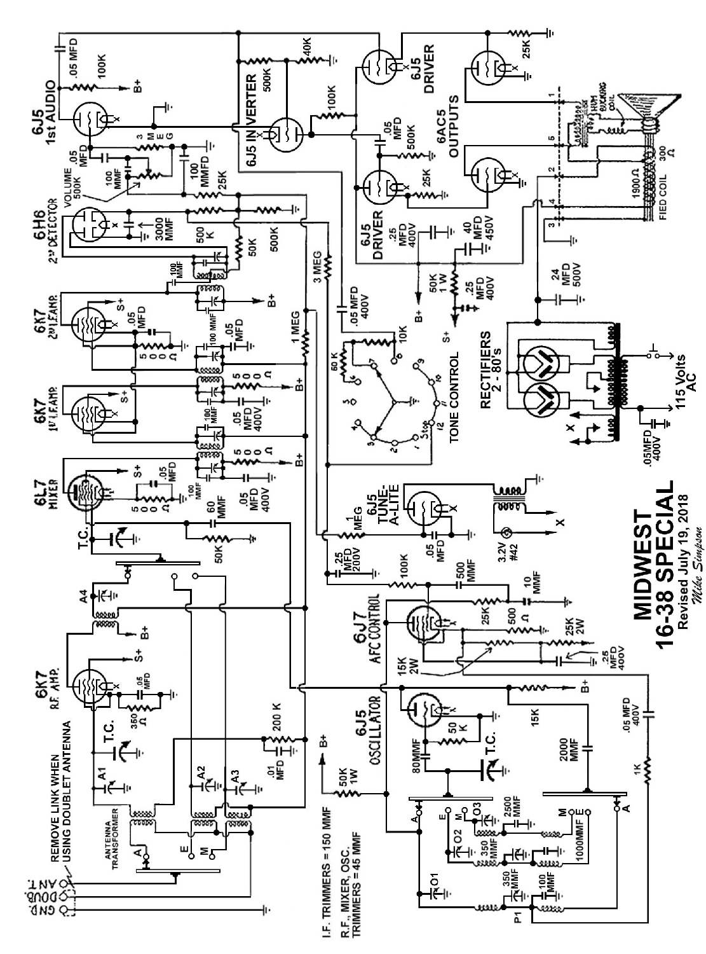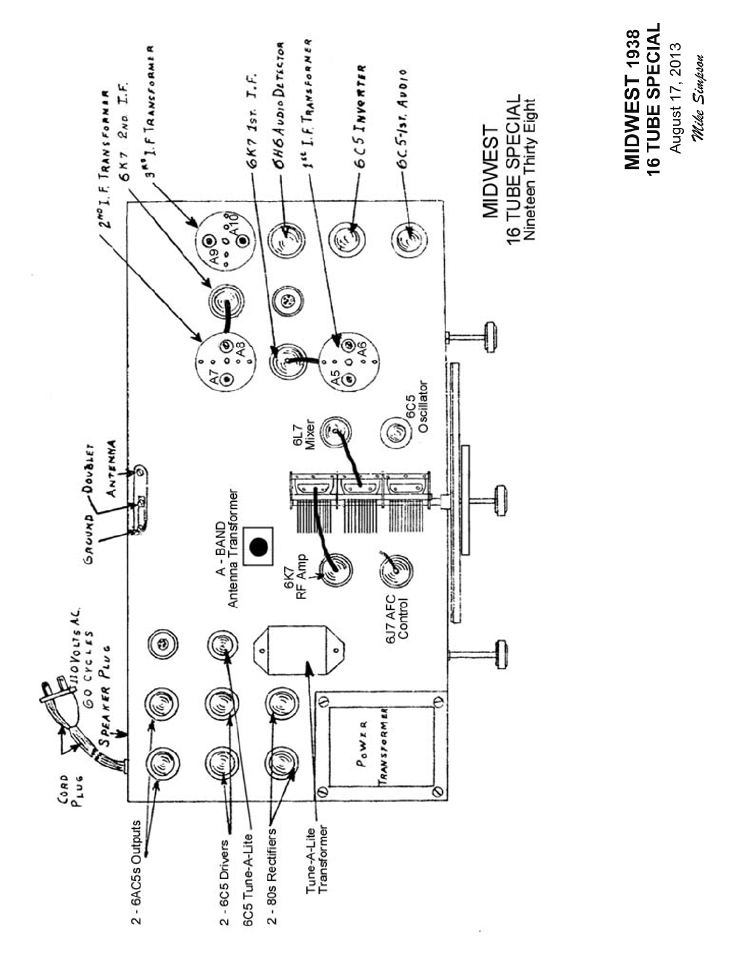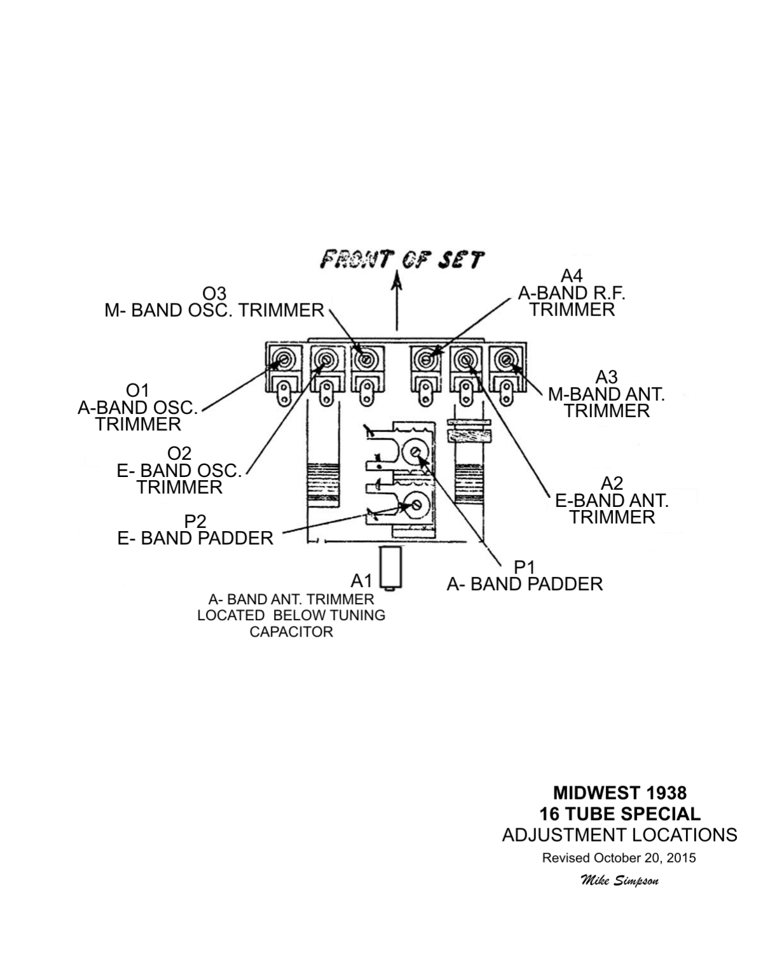

**MIDWEST 1938 16 TUBE SPECIAL ADJUSTMENT LOCATIONS** 

Revised October 20, 2015

Mike Simpson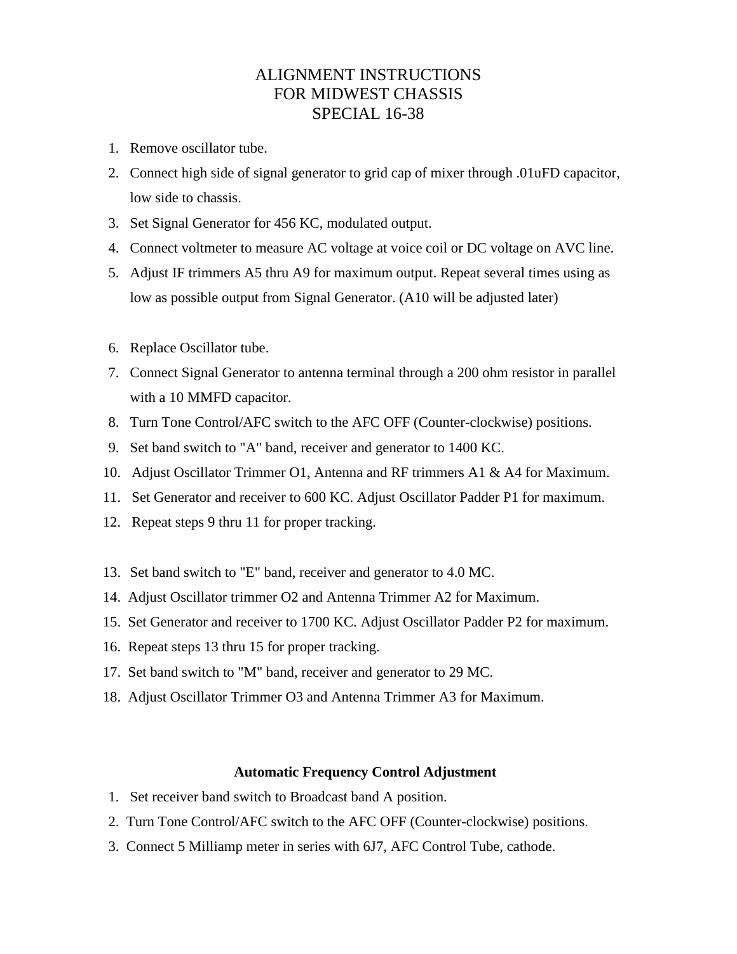## ALIGNMENT INSTRUCTIONS FOR MIDWEST CHASSIS SPECIAL 16-38

- 1. Remove oscillator tube.
- 2. Connect high side of signal generator to grid cap of mixer through .01uFD capacitor, low side to chassis.
- 3. Set Signal Generator for 456 KC, modulated output.
- 4. Connect voltmeter to measure AC voltage at voice coil or DC voltage on AVC line.
- 5. Adjust IF trimmers A5 thru A9 for maximum output. Repeat several times using as low as possible output from Signal Generator. (A10 will be adjusted later)
- 6. Replace Oscillator tube.
- 7. Connect Signal Generator to antenna terminal through a 200 ohm resistor in parallel with a 10 MMFD capacitor.
- 8. Turn Tone Control/AFC switch to the AFC OFF (Counter-clockwise) positions.
- 9. Set band switch to "A" band, receiver and generator to 1400 KC.
- 10. Adjust Oscillator Trimmer O1, Antenna and RF trimmers A1 & A4 for Maximum.
- 11. Set Generator and receiver to 600 KC. Adjust Oscillator Padder P1 for maximum.
- 12. Repeat steps 9 thru 11 for proper tracking.
- 13. Set band switch to "E" band, receiver and generator to 4.0 MC.
- 14. Adjust Oscillator trimmer O2 and Antenna Trimmer A2 for Maximum.
- 15. Set Generator and receiver to 1700 KC. Adjust Oscillator Padder P2 for maximum.
- 16. Repeat steps 13 thru 15 for proper tracking.
- 17. Set band switch to "M" band, receiver and generator to 29 MC.
- 18. Adjust Oscillator Trimmer O3 and Antenna Trimmer A3 for Maximum.

## **Automatic Frequency Control Adjustment**

- 1.Set receiver band switch to Broadcast band A position.
- 2. Turn Tone Control/AFC switch to the AFC OFF (Counter-clockwise) positions.
- 3. Connect 5 Milliamp meter in series with 6J7, AFC Control Tube, cathode.